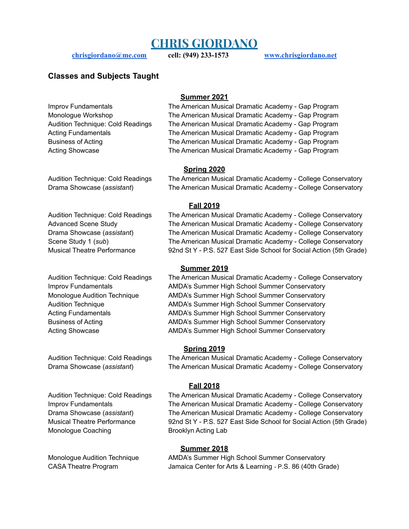# **CHRIS GIORDANO**

**[chrisgiordano@me.com](mailto:chrisgiordano@me.com) cell: (949) 233-1573 [www.chrisgiordano.net](http://www.chrisgiordano.net)**

## **Classes and Subjects Taught**

#### **Summer 2021**

Improv Fundamentals The American Musical Dramatic Academy - Gap Program Monologue Workshop The American Musical Dramatic Academy - Gap Program Audition Technique: Cold Readings The American Musical Dramatic Academy - Gap Program Acting Fundamentals The American Musical Dramatic Academy - Gap Program Business of Acting The American Musical Dramatic Academy - Gap Program Acting Showcase The American Musical Dramatic Academy - Gap Program

### **Spring 2020**

Monologue Coaching Brooklyn Acting Lab

Audition Technique: Cold Readings The American Musical Dramatic Academy - College Conservatory Drama Showcase (*assistant*) The American Musical Dramatic Academy - College Conservatory

### **Fall 2019**

Audition Technique: Cold Readings The American Musical Dramatic Academy - College Conservatory Advanced Scene Study The American Musical Dramatic Academy - College Conservatory Drama Showcase (*assistant*) The American Musical Dramatic Academy - College Conservatory Scene Study 1 (*sub*) The American Musical Dramatic Academy - College Conservatory Musical Theatre Performance 92nd St Y - P.S. 527 East Side School for Social Action (5th Grade)

### **Summer 2019**

Audition Technique: Cold Readings The American Musical Dramatic Academy - College Conservatory Improv Fundamentals **AMDA's Summer High School Summer Conservatory** Monologue Audition Technique AMDA's Summer High School Summer Conservatory Audition Technique AMDA's Summer High School Summer Conservatory Acting Fundamentals **AMDA's Summer High School Summer Conservatory** Business of Acting AMDA's Summer High School Summer Conservatory Acting Showcase **AMDA's Summer High School Summer Conservatory** 

### **Spring 2019**

Audition Technique: Cold Readings The American Musical Dramatic Academy - College Conservatory Drama Showcase (*assistant*) The American Musical Dramatic Academy - College Conservatory

### **Fall 2018**

Audition Technique: Cold Readings The American Musical Dramatic Academy - College Conservatory Improv Fundamentals The American Musical Dramatic Academy - College Conservatory Drama Showcase (*assistant*) The American Musical Dramatic Academy - College Conservatory Musical Theatre Performance 92nd St Y - P.S. 527 East Side School for Social Action (5th Grade)

### **Summer 2018**

Monologue Audition Technique AMDA's Summer High School Summer Conservatory CASA Theatre Program Jamaica Center for Arts & Learning - P.S. 86 (40th Grade)